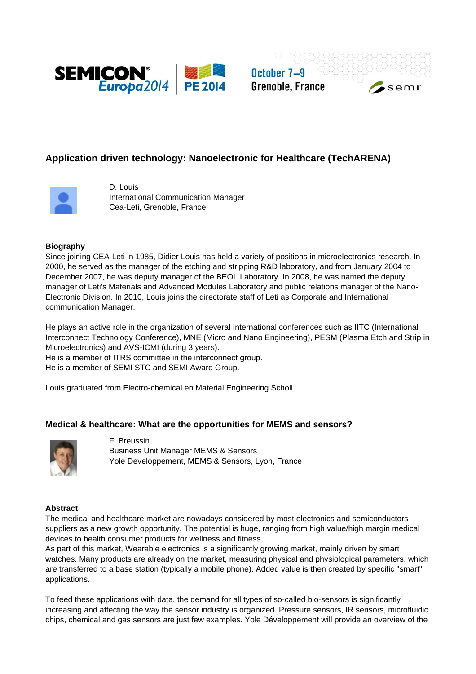

October 7-9 **Grenoble, France** 

semi





D. Louis International Communication Manager Cea-Leti, Grenoble, France

# **Biography**

Since joining CEA-Leti in 1985, Didier Louis has held a variety of positions in microelectronics research. In 2000, he served as the manager of the etching and stripping R&D laboratory, and from January 2004 to December 2007, he was deputy manager of the BEOL Laboratory. In 2008, he was named the deputy manager of Leti's Materials and Advanced Modules Laboratory and public relations manager of the Nano-Electronic Division. In 2010, Louis joins the directorate staff of Leti as Corporate and International communication Manager.

He plays an active role in the organization of several International conferences such as IITC (International Interconnect Technology Conference), MNE (Micro and Nano Engineering), PESM (Plasma Etch and Strip in Microelectronics) and AVS-ICMI (during 3 years).

He is a member of ITRS committee in the interconnect group.

He is a member of SEMI STC and SEMI Award Group.

Louis graduated from Electro-chemical en Material Engineering Scholl.

# **Medical & healthcare: What are the opportunities for MEMS and sensors?**



F. Breussin Business Unit Manager MEMS & Sensors Yole Developpement, MEMS & Sensors, Lyon, France

#### **Abstract**

The medical and healthcare market are nowadays considered by most electronics and semiconductors suppliers as a new growth opportunity. The potential is huge, ranging from high value/high margin medical devices to health consumer products for wellness and fitness.

As part of this market, Wearable electronics is a significantly growing market, mainly driven by smart watches. Many products are already on the market, measuring physical and physiological parameters, which are transferred to a base station (typically a mobile phone). Added value is then created by specific "smart" applications.

To feed these applications with data, the demand for all types of so-called bio-sensors is significantly increasing and affecting the way the sensor industry is organized. Pressure sensors, IR sensors, microfluidic chips, chemical and gas sensors are just few examples. Yole Développement will provide an overview of the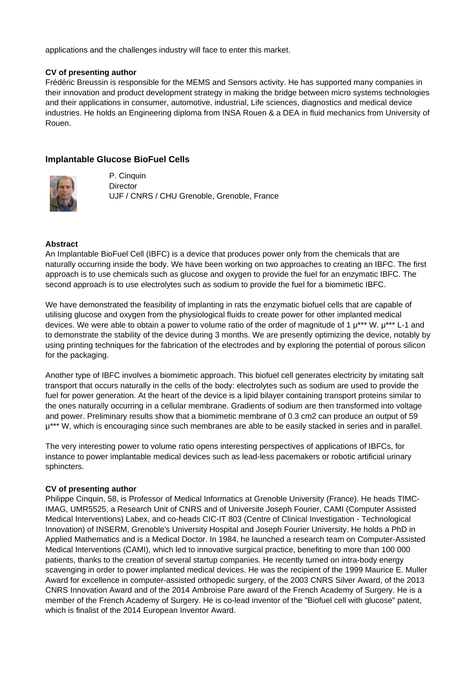applications and the challenges industry will face to enter this market.

### **CV of presenting author**

Frédéric Breussin is responsible for the MEMS and Sensors activity. He has supported many companies in their innovation and product development strategy in making the bridge between micro systems technologies and their applications in consumer, automotive, industrial, Life sciences, diagnostics and medical device industries. He holds an Engineering diploma from INSA Rouen & a DEA in fluid mechanics from University of Rouen.

# **Implantable Glucose BioFuel Cells**



P. Cinquin **Director** UJF / CNRS / CHU Grenoble, Grenoble, France

### **Abstract**

An Implantable BioFuel Cell (IBFC) is a device that produces power only from the chemicals that are naturally occurring inside the body. We have been working on two approaches to creating an IBFC. The first approach is to use chemicals such as glucose and oxygen to provide the fuel for an enzymatic IBFC. The second approach is to use electrolytes such as sodium to provide the fuel for a biomimetic IBFC.

We have demonstrated the feasibility of implanting in rats the enzymatic biofuel cells that are capable of utilising glucose and oxygen from the physiological fluids to create power for other implanted medical devices. We were able to obtain a power to volume ratio of the order of magnitude of 1  $\mu^{***}$  W.  $\mu^{***}$  L-1 and to demonstrate the stability of the device during 3 months. We are presently optimizing the device, notably by using printing techniques for the fabrication of the electrodes and by exploring the potential of porous silicon for the packaging.

Another type of IBFC involves a biomimetic approach. This biofuel cell generates electricity by imitating salt transport that occurs naturally in the cells of the body: electrolytes such as sodium are used to provide the fuel for power generation. At the heart of the device is a lipid bilayer containing transport proteins similar to the ones naturally occurring in a cellular membrane. Gradients of sodium are then transformed into voltage and power. Preliminary results show that a biomimetic membrane of 0.3 cm2 can produce an output of 59  $\mu^{***}$  W, which is encouraging since such membranes are able to be easily stacked in series and in parallel.

The very interesting power to volume ratio opens interesting perspectives of applications of IBFCs, for instance to power implantable medical devices such as lead-less pacemakers or robotic artificial urinary sphincters.

#### **CV of presenting author**

Philippe Cinquin, 58, is Professor of Medical Informatics at Grenoble University (France). He heads TIMC-IMAG, UMR5525, a Research Unit of CNRS and of Universite Joseph Fourier, CAMI (Computer Assisted Medical Interventions) Labex, and co-heads CIC-IT 803 (Centre of Clinical Investigation - Technological Innovation) of INSERM, Grenoble's University Hospital and Joseph Fourier University. He holds a PhD in Applied Mathematics and is a Medical Doctor. In 1984, he launched a research team on Computer-Assisted Medical Interventions (CAMI), which led to innovative surgical practice, benefiting to more than 100 000 patients, thanks to the creation of several startup companies. He recently turned on intra-body energy scavenging in order to power implanted medical devices. He was the recipient of the 1999 Maurice E. Muller Award for excellence in computer-assisted orthopedic surgery, of the 2003 CNRS Silver Award, of the 2013 CNRS Innovation Award and of the 2014 Ambroise Pare award of the French Academy of Surgery. He is a member of the French Academy of Surgery. He is co-lead inventor of the "Biofuel cell with glucose" patent, which is finalist of the 2014 European Inventor Award.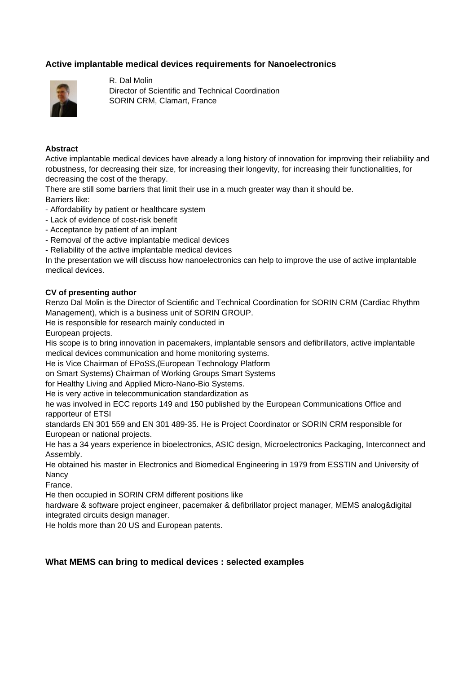# **Active implantable medical devices requirements for Nanoelectronics**



R. Dal Molin Director of Scientific and Technical Coordination SORIN CRM, Clamart, France

### **Abstract**

Active implantable medical devices have already a long history of innovation for improving their reliability and robustness, for decreasing their size, for increasing their longevity, for increasing their functionalities, for decreasing the cost of the therapy.

There are still some barriers that limit their use in a much greater way than it should be. Barriers like:

- Affordability by patient or healthcare system

- Lack of evidence of cost-risk benefit
- Acceptance by patient of an implant
- Removal of the active implantable medical devices
- Reliability of the active implantable medical devices

In the presentation we will discuss how nanoelectronics can help to improve the use of active implantable medical devices.

### **CV of presenting author**

Renzo Dal Molin is the Director of Scientific and Technical Coordination for SORIN CRM (Cardiac Rhythm Management), which is a business unit of SORIN GROUP.

He is responsible for research mainly conducted in

European projects.

His scope is to bring innovation in pacemakers, implantable sensors and defibrillators, active implantable medical devices communication and home monitoring systems.

He is Vice Chairman of EPoSS,(European Technology Platform

on Smart Systems) Chairman of Working Groups Smart Systems

for Healthy Living and Applied Micro-Nano-Bio Systems.

He is very active in telecommunication standardization as

he was involved in ECC reports 149 and 150 published by the European Communications Office and rapporteur of ETSI

standards EN 301 559 and EN 301 489-35. He is Project Coordinator or SORIN CRM responsible for European or national projects.

He has a 34 years experience in bioelectronics, ASIC design, Microelectronics Packaging, Interconnect and Assembly.

He obtained his master in Electronics and Biomedical Engineering in 1979 from ESSTIN and University of Nancy

France.

He then occupied in SORIN CRM different positions like

hardware & software project engineer, pacemaker & defibrillator project manager, MEMS analog&digital integrated circuits design manager.

He holds more than 20 US and European patents.

# **What MEMS can bring to medical devices : selected examples**